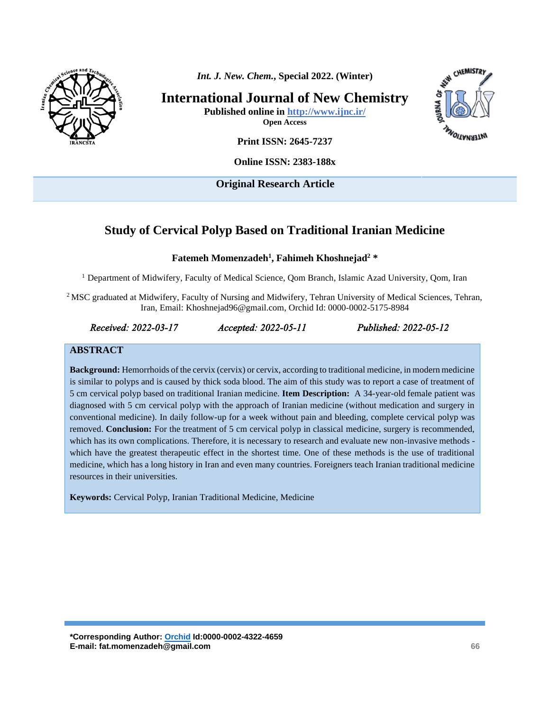

*Int. J. New. Chem.***, Special 2022. (Winter)**

**International Journal of New Chemistry**

**Published online in<http://www.ijnc.ir/> Open Access**



**Print ISSN: 2645-7237**

**Online ISSN: 2383-188x** 

**Original Research Article** 

# **Study of Cervical Polyp Based on Traditional Iranian Medicine**

#### **Fatemeh Momenzadeh<sup>1</sup> , Fahimeh Khoshnejad<sup>2</sup> \***

<sup>1</sup> Department of Midwifery, Faculty of Medical Science, Qom Branch, Islamic Azad University, Qom, Iran

<sup>2</sup>MSC graduated at Midwifery, Faculty of Nursing and Midwifery, Tehran University of Medical Sciences, Tehran, Iran, Email: [Khoshnejad96@gmail.com,](mailto:Khoshnejad96@gmail.com) Orchid Id: 0000-0002-5175-8984

#### *Received: 2022-03-17 Accepted: 2022-05-11 Published: 2022-05-12*

#### **ABSTRACT**

**Background:** Hemorrhoids of the cervix (cervix) or cervix, according to traditional medicine, in modern medicine is similar to polyps and is caused by thick soda blood. The aim of this study was to report a case of treatment of 5 cm cervical polyp based on traditional Iranian medicine. **Item Description:** A 34-year-old female patient was diagnosed with 5 cm cervical polyp with the approach of Iranian medicine (without medication and surgery in conventional medicine). In daily follow-up for a week without pain and bleeding, complete cervical polyp was removed. **Conclusion:** For the treatment of 5 cm cervical polyp in classical medicine, surgery is recommended, which has its own complications. Therefore, it is necessary to research and evaluate new non-invasive methods which have the greatest therapeutic effect in the shortest time. One of these methods is the use of traditional medicine, which has a long history in Iran and even many countries. Foreigners teach Iranian traditional medicine resources in their universities.

**Keywords:** Cervical Polyp, Iranian Traditional Medicine, Medicine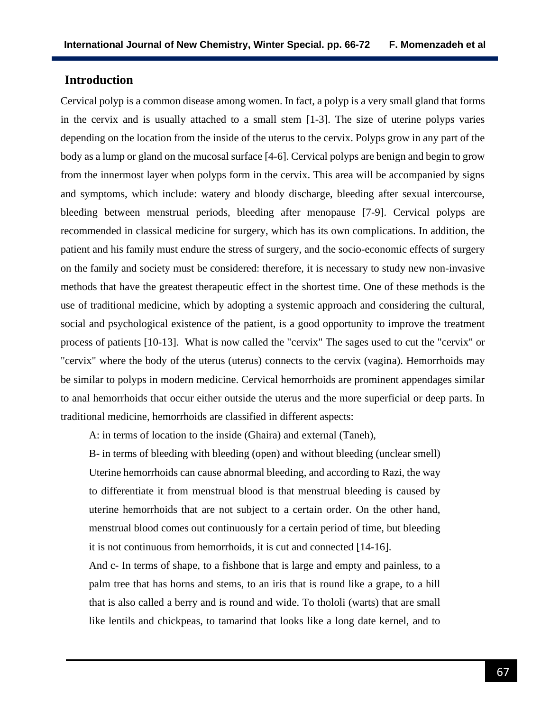## **Introduction**

Cervical polyp is a common disease among women. In fact, a polyp is a very small gland that forms in the cervix and is usually attached to a small stem [1-3]. The size of uterine polyps varies depending on the location from the inside of the uterus to the cervix. Polyps grow in any part of the body as a lump or gland on the mucosal surface [4-6]. Cervical polyps are benign and begin to grow from the innermost layer when polyps form in the cervix. This area will be accompanied by signs and symptoms, which include: watery and bloody discharge, bleeding after sexual intercourse, bleeding between menstrual periods, bleeding after menopause [7-9]. Cervical polyps are recommended in classical medicine for surgery, which has its own complications. In addition, the patient and his family must endure the stress of surgery, and the socio-economic effects of surgery on the family and society must be considered: therefore, it is necessary to study new non-invasive methods that have the greatest therapeutic effect in the shortest time. One of these methods is the use of traditional medicine, which by adopting a systemic approach and considering the cultural, social and psychological existence of the patient, is a good opportunity to improve the treatment process of patients [10-13]. What is now called the "cervix" The sages used to cut the "cervix" or "cervix" where the body of the uterus (uterus) connects to the cervix (vagina). Hemorrhoids may be similar to polyps in modern medicine. Cervical hemorrhoids are prominent appendages similar to anal hemorrhoids that occur either outside the uterus and the more superficial or deep parts. In traditional medicine, hemorrhoids are classified in different aspects:

A: in terms of location to the inside (Ghaira) and external (Taneh),

B- in terms of bleeding with bleeding (open) and without bleeding (unclear smell) Uterine hemorrhoids can cause abnormal bleeding, and according to Razi, the way to differentiate it from menstrual blood is that menstrual bleeding is caused by uterine hemorrhoids that are not subject to a certain order. On the other hand, menstrual blood comes out continuously for a certain period of time, but bleeding it is not continuous from hemorrhoids, it is cut and connected [14-16].

And c- In terms of shape, to a fishbone that is large and empty and painless, to a palm tree that has horns and stems, to an iris that is round like a grape, to a hill that is also called a berry and is round and wide. To thololi (warts) that are small like lentils and chickpeas, to tamarind that looks like a long date kernel, and to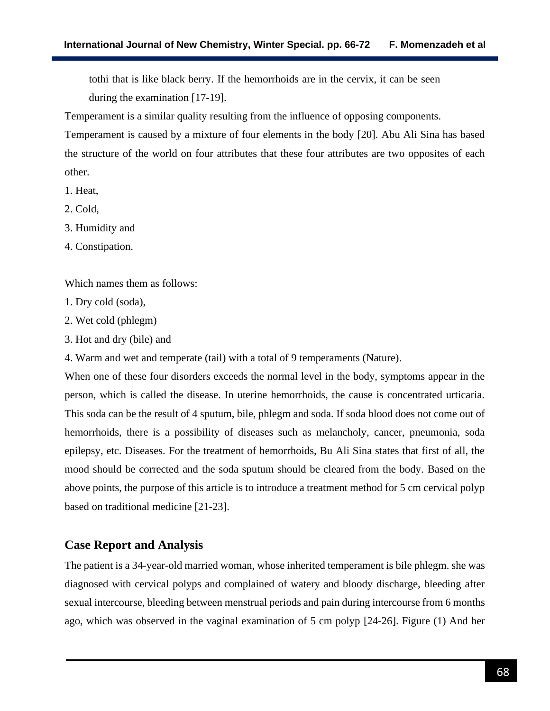tothi that is like black berry. If the hemorrhoids are in the cervix, it can be seen during the examination [17-19].

Temperament is a similar quality resulting from the influence of opposing components.

Temperament is caused by a mixture of four elements in the body [20]. Abu Ali Sina has based the structure of the world on four attributes that these four attributes are two opposites of each other.

- 1. Heat,
- 2. Cold,
- 3. Humidity and
- 4. Constipation.

Which names them as follows:

- 1. Dry cold (soda),
- 2. Wet cold (phlegm)
- 3. Hot and dry (bile) and

4. Warm and wet and temperate (tail) with a total of 9 temperaments (Nature).

When one of these four disorders exceeds the normal level in the body, symptoms appear in the person, which is called the disease. In uterine hemorrhoids, the cause is concentrated urticaria. This soda can be the result of 4 sputum, bile, phlegm and soda. If soda blood does not come out of hemorrhoids, there is a possibility of diseases such as melancholy, cancer, pneumonia, soda epilepsy, etc. Diseases. For the treatment of hemorrhoids, Bu Ali Sina states that first of all, the mood should be corrected and the soda sputum should be cleared from the body. Based on the above points, the purpose of this article is to introduce a treatment method for 5 cm cervical polyp based on traditional medicine [21-23].

## **Case Report and Analysis**

The patient is a 34-year-old married woman, whose inherited temperament is bile phlegm. she was diagnosed with cervical polyps and complained of watery and bloody discharge, bleeding after sexual intercourse, bleeding between menstrual periods and pain during intercourse from 6 months ago, which was observed in the vaginal examination of 5 cm polyp [24-26]. Figure (1) And her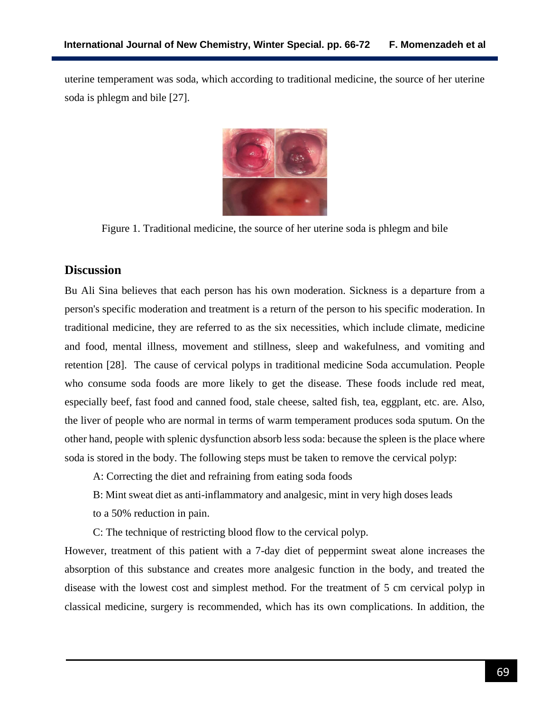uterine temperament was soda, which according to traditional medicine, the source of her uterine soda is phlegm and bile [27].



Figure 1. Traditional medicine, the source of her uterine soda is phlegm and bile

## **Discussion**

Bu Ali Sina believes that each person has his own moderation. Sickness is a departure from a person's specific moderation and treatment is a return of the person to his specific moderation. In traditional medicine, they are referred to as the six necessities, which include climate, medicine and food, mental illness, movement and stillness, sleep and wakefulness, and vomiting and retention [28]. The cause of cervical polyps in traditional medicine Soda accumulation. People who consume soda foods are more likely to get the disease. These foods include red meat, especially beef, fast food and canned food, stale cheese, salted fish, tea, eggplant, etc. are. Also, the liver of people who are normal in terms of warm temperament produces soda sputum. On the other hand, people with splenic dysfunction absorb less soda: because the spleen is the place where soda is stored in the body. The following steps must be taken to remove the cervical polyp:

A: Correcting the diet and refraining from eating soda foods

B: Mint sweat diet as anti-inflammatory and analgesic, mint in very high doses leads

to a 50% reduction in pain.

C: The technique of restricting blood flow to the cervical polyp.

However, treatment of this patient with a 7-day diet of peppermint sweat alone increases the absorption of this substance and creates more analgesic function in the body, and treated the disease with the lowest cost and simplest method. For the treatment of 5 cm cervical polyp in classical medicine, surgery is recommended, which has its own complications. In addition, the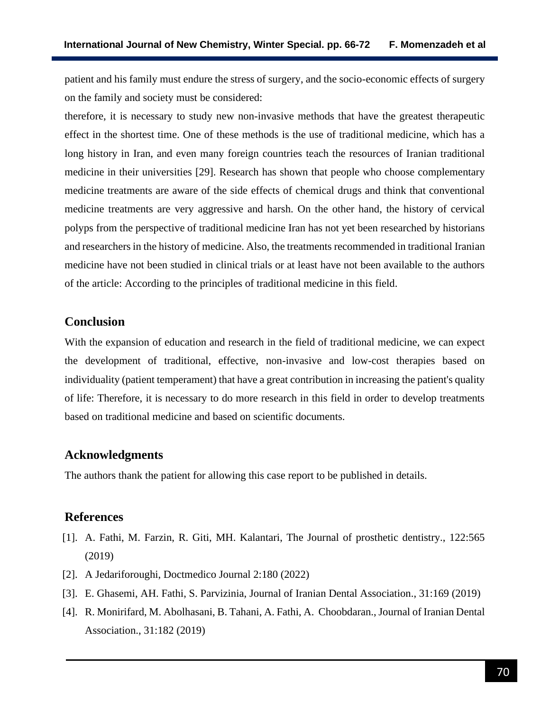patient and his family must endure the stress of surgery, and the socio-economic effects of surgery on the family and society must be considered:

therefore, it is necessary to study new non-invasive methods that have the greatest therapeutic effect in the shortest time. One of these methods is the use of traditional medicine, which has a long history in Iran, and even many foreign countries teach the resources of Iranian traditional medicine in their universities [29]. Research has shown that people who choose complementary medicine treatments are aware of the side effects of chemical drugs and think that conventional medicine treatments are very aggressive and harsh. On the other hand, the history of cervical polyps from the perspective of traditional medicine Iran has not yet been researched by historians and researchers in the history of medicine. Also, the treatments recommended in traditional Iranian medicine have not been studied in clinical trials or at least have not been available to the authors of the article: According to the principles of traditional medicine in this field.

### **Conclusion**

With the expansion of education and research in the field of traditional medicine, we can expect the development of traditional, effective, non-invasive and low-cost therapies based on individuality (patient temperament) that have a great contribution in increasing the patient's quality of life: Therefore, it is necessary to do more research in this field in order to develop treatments based on traditional medicine and based on scientific documents.

#### **Acknowledgments**

The authors thank the patient for allowing this case report to be published in details.

#### **References**

- [1]. A. Fathi, M. Farzin, R. Giti, MH. Kalantari, The Journal of prosthetic dentistry., 122:565 (2019)
- [2]. A Jedariforoughi, Doctmedico Journal 2:180 (2022)
- [3]. E. Ghasemi, AH. Fathi, S. Parvizinia, Journal of Iranian Dental Association., 31:169 (2019)
- [4]. R. Monirifard, M. Abolhasani, B. Tahani, A. Fathi, A. Choobdaran., Journal of Iranian Dental Association., 31:182 (2019)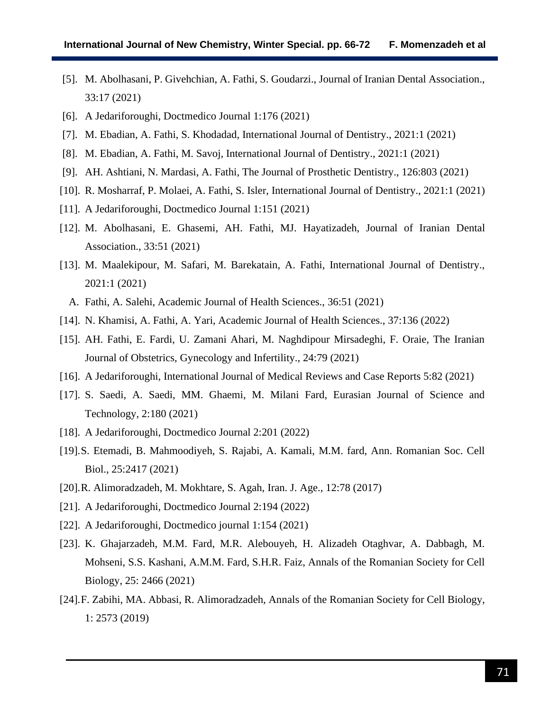- [5]. M. Abolhasani, P. Givehchian, A. Fathi, S. Goudarzi., Journal of Iranian Dental Association., 33:17 (2021)
- [6]. A Jedariforoughi, Doctmedico Journal 1:176 (2021)
- [7]. M. Ebadian, A. Fathi, S. Khodadad, International Journal of Dentistry., 2021:1 (2021)
- [8]. M. Ebadian, A. Fathi, M. Savoj, International Journal of Dentistry., 2021:1 (2021)
- [9]. AH. Ashtiani, N. Mardasi, A. Fathi, The Journal of Prosthetic Dentistry., 126:803 (2021)
- [10]. R. Mosharraf, P. Molaei, A. Fathi, S. Isler, International Journal of Dentistry., 2021:1 (2021)
- [11]. A Jedariforoughi, Doctmedico Journal 1:151 (2021)
- [12]. M. Abolhasani, E. Ghasemi, AH. Fathi, MJ. Hayatizadeh, Journal of Iranian Dental Association., 33:51 (2021)
- [13]. M. Maalekipour, M. Safari, M. Barekatain, A. Fathi, International Journal of Dentistry., 2021:1 (2021)
	- A. Fathi, A. Salehi, Academic Journal of Health Sciences., 36:51 (2021)
- [14]. N. Khamisi, A. Fathi, A. Yari, Academic Journal of Health Sciences., 37:136 (2022)
- [15]. AH. Fathi, E. Fardi, U. Zamani Ahari, M. Naghdipour Mirsadeghi, F. Oraie, The Iranian Journal of Obstetrics, Gynecology and Infertility., 24:79 (2021)
- [16]. A Jedariforoughi, International Journal of Medical Reviews and Case Reports 5:82 (2021)
- [17]. S. Saedi, A. Saedi, MM. Ghaemi, M. Milani Fard, Eurasian Journal of Science and Technology, 2:180 (2021)
- [18]. A Jedariforoughi, Doctmedico Journal 2:201 (2022)
- [19].S. Etemadi, B. Mahmoodiyeh, S. Rajabi, A. Kamali, M.M. fard, Ann. Romanian Soc. Cell Biol., 25:2417 (2021)
- [20].R. Alimoradzadeh, M. Mokhtare, S. Agah, Iran. J. Age., 12:78 (2017)
- [21]. A Jedariforoughi, Doctmedico Journal 2:194 (2022)
- [22]. A Jedariforoughi, Doctmedico journal 1:154 (2021)
- [23]. K. Ghajarzadeh, M.M. Fard, M.R. Alebouyeh, H. Alizadeh Otaghvar, A. Dabbagh, M. Mohseni, S.S. Kashani, A.M.M. Fard, S.H.R. Faiz, Annals of the Romanian Society for Cell Biology, 25: 2466 (2021)
- [24].F. Zabihi, MA. Abbasi, R. Alimoradzadeh, Annals of the Romanian Society for Cell Biology, 1: 2573 (2019)